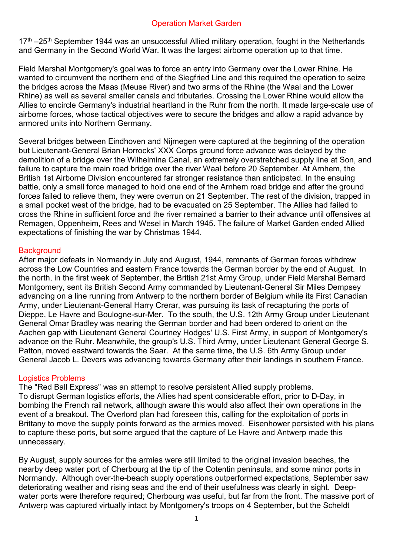## Operation Market Garden

 $17<sup>th</sup> - 25<sup>th</sup>$  September 1944 was an unsuccessful Allied military operation, fought in the Netherlands and Germany in the Second World War. It was the largest airborne operation up to that time.

Field Marshal Montgomery's goal was to force an entry into Germany over the Lower Rhine. He wanted to circumvent the northern end of the Siegfried Line and this required the operation to seize the bridges across the Maas (Meuse River) and two arms of the Rhine (the Waal and the Lower Rhine) as well as several smaller canals and tributaries. Crossing the Lower Rhine would allow the Allies to encircle Germany's industrial heartland in the Ruhr from the north. It made large-scale use of airborne forces, whose tactical objectives were to secure the bridges and allow a rapid advance by armored units into Northern Germany.

Several bridges between Eindhoven and Nijmegen were captured at the beginning of the operation but Lieutenant-General Brian Horrocks' XXX Corps ground force advance was delayed by the demolition of a bridge over the Wilhelmina Canal, an extremely overstretched supply line at Son, and failure to capture the main road bridge over the river Waal before 20 September. At Arnhem, the British 1st Airborne Division encountered far stronger resistance than anticipated. In the ensuing battle, only a small force managed to hold one end of the Arnhem road bridge and after the ground forces failed to relieve them, they were overrun on 21 September. The rest of the division, trapped in a small pocket west of the bridge, had to be evacuated on 25 September. The Allies had failed to cross the Rhine in sufficient force and the river remained a barrier to their advance until offensives at Remagen, Oppenheim, Rees and Wesel in March 1945. The failure of Market Garden ended Allied expectations of finishing the war by Christmas 1944.

## **Background**

After major defeats in Normandy in July and August, 1944, remnants of German forces withdrew across the Low Countries and eastern France towards the German border by the end of August. In the north, in the first week of September, the British 21st Army Group, under Field Marshal Bernard Montgomery, sent its British Second Army commanded by Lieutenant-General Sir Miles Dempsey advancing on a line running from Antwerp to the northern border of Belgium while its First Canadian Army, under Lieutenant-General Harry Crerar, was pursuing its task of recapturing the ports of Dieppe, Le Havre and Boulogne-sur-Mer. To the south, the U.S. 12th Army Group under Lieutenant General Omar Bradley was nearing the German border and had been ordered to orient on the Aachen gap with Lieutenant General Courtney Hodges' U.S. First Army, in support of Montgomery's advance on the Ruhr. Meanwhile, the group's U.S. Third Army, under Lieutenant General George S. Patton, moved eastward towards the Saar. At the same time, the U.S. 6th Army Group under General Jacob L. Devers was advancing towards Germany after their landings in southern France.

# Logistics Problems

The "Red Ball Express" was an attempt to resolve persistent Allied supply problems. To disrupt German logistics efforts, the Allies had spent considerable effort, prior to D-Day, in bombing the French rail network, although aware this would also affect their own operations in the event of a breakout. The Overlord plan had foreseen this, calling for the exploitation of ports in Brittany to move the supply points forward as the armies moved. Eisenhower persisted with his plans to capture these ports, but some argued that the capture of Le Havre and Antwerp made this unnecessary.

By August, supply sources for the armies were still limited to the original invasion beaches, the nearby deep water port of Cherbourg at the tip of the Cotentin peninsula, and some minor ports in Normandy. Although over-the-beach supply operations outperformed expectations, September saw deteriorating weather and rising seas and the end of their usefulness was clearly in sight. Deepwater ports were therefore required; Cherbourg was useful, but far from the front. The massive port of Antwerp was captured virtually intact by Montgomery's troops on 4 September, but the Scheldt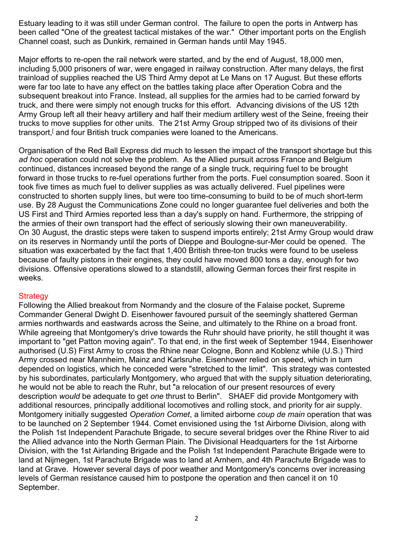Estuary leading to it was still under German control. The failure to open the ports in Antwerp has been called "One of the greatest tactical mistakes of the war." Other important ports on the English Channel coast, such as Dunkirk, remained in German hands until May 1945.

Major efforts to re-open the rail network were started, and by the end of August, 18,000 men, including 5,000 prisoners of war, were engaged in railway construction. After many delays, the first trainload of supplies reached the US Third Army depot at Le Mans on 17 August. But these efforts were far too late to have any effect on the battles taking place after Operation Cobra and the subsequent breakout into France. Instead, all supplies for the armies had to be carried forward by truck, and there were simply not enough trucks for this effort. Advancing divisions of the US 12th Army Group left all their heavy artillery and half their medium artillery west of the Seine, freeing their trucks to move supplies for other units. The 21st Army Group stripped two of its divisions of their transport,<sup>[</sup> and four British truck companies were loaned to the Americans.

Organisation of the Red Ball Express did much to lessen the impact of the transport shortage but this *ad hoc* operation could not solve the problem. As the Allied pursuit across France and Belgium continued, distances increased beyond the range of a single truck, requiring fuel to be brought forward in those trucks to re-fuel operations further from the ports. Fuel consumption soared. Soon it took five times as much fuel to deliver supplies as was actually delivered. Fuel pipelines were constructed to shorten supply lines, but were too time-consuming to build to be of much short-term use. By 28 August the Communications Zone could no longer guarantee fuel deliveries and both the US First and Third Armies reported less than a day's supply on hand. Furthermore, the stripping of the armies of their own transport had the effect of seriously slowing their own maneuverability. On 30 August, the drastic steps were taken to suspend imports entirely; 21st Army Group would draw on its reserves in Normandy until the ports of Dieppe and Boulogne-sur-Mer could be opened. The situation was exacerbated by the fact that 1,400 British three-ton trucks were found to be useless because of faulty pistons in their engines, they could have moved 800 tons a day, enough for two divisions. Offensive operations slowed to a standstill, allowing German forces their first respite in weeks.

## **Strategy**

Following the Allied breakout from Normandy and the closure of the Falaise pocket, Supreme Commander General Dwight D. Eisenhower favoured pursuit of the seemingly shattered German armies northwards and eastwards across the Seine, and ultimately to the Rhine on a broad front. While agreeing that Montgomery's drive towards the Ruhr should have priority, he still thought it was important to "get Patton moving again". To that end, in the first week of September 1944, Eisenhower authorised (U.S) First Army to cross the Rhine near Cologne, Bonn and Koblenz while (U.S.) Third Army crossed near Mannheim, Mainz and Karlsruhe. Eisenhower relied on speed, which in turn depended on logistics, which he conceded were "stretched to the limit". This strategy was contested by his subordinates, particularly Montgomery, who argued that with the supply situation deteriorating, he would not be able to reach the Ruhr, but "a relocation of our present resources of every description *would* be adequate to get *one* thrust to Berlin". SHAEF did provide Montgomery with additional resources, principally additional locomotives and rolling stock, and priority for air supply. Montgomery initially suggested *Operation Comet*, a limited airborne *coup de main* operation that was to be launched on 2 September 1944. Comet envisioned using the 1st Airborne Division, along with the Polish 1st Independent Parachute Brigade, to secure several bridges over the Rhine River to aid the Allied advance into the North German Plain. The Divisional Headquarters for the 1st Airborne Division, with the 1st Airlanding Brigade and the Polish 1st Independent Parachute Brigade were to land at Nijmegen, 1st Parachute Brigade was to land at Arnhem, and 4th Parachute Brigade was to land at Grave. However several days of poor weather and Montgomery's concerns over increasing levels of German resistance caused him to postpone the operation and then cancel it on 10 September.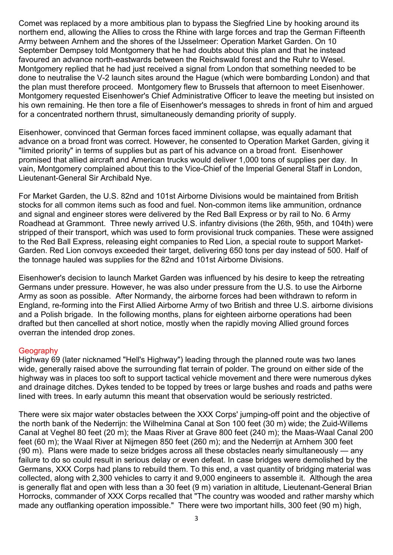Comet was replaced by a more ambitious plan to bypass the Siegfried Line by hooking around its northern end, allowing the Allies to cross the Rhine with large forces and trap the German Fifteenth Army between Arnhem and the shores of the IJsselmeer: Operation Market Garden. On 10 September Dempsey told Montgomery that he had doubts about this plan and that he instead favoured an advance north-eastwards between the Reichswald forest and the Ruhr to Wesel. Montgomery replied that he had just received a signal from London that something needed to be done to neutralise the V-2 launch sites around the Hague (which were bombarding London) and that the plan must therefore proceed. Montgomery flew to Brussels that afternoon to meet Eisenhower. Montgomery requested Eisenhower's Chief Administrative Officer to leave the meeting but insisted on his own remaining. He then tore a file of Eisenhower's messages to shreds in front of him and argued for a concentrated northern thrust, simultaneously demanding priority of supply.

Eisenhower, convinced that German forces faced imminent collapse, was equally adamant that advance on a broad front was correct. However, he consented to Operation Market Garden, giving it "limited priority" in terms of supplies but as part of his advance on a broad front. Eisenhower promised that allied aircraft and American trucks would deliver 1,000 tons of supplies per day. In vain, Montgomery complained about this to the Vice-Chief of the Imperial General Staff in London, Lieutenant-General Sir Archibald Nye.

For Market Garden, the U.S. 82nd and 101st Airborne Divisions would be maintained from British stocks for all common items such as food and fuel. Non-common items like ammunition, ordnance and signal and engineer stores were delivered by the Red Ball Express or by rail to No. 6 Army Roadhead at Grammont. Three newly arrived U.S. infantry divisions (the 26th, 95th, and 104th) were stripped of their transport, which was used to form provisional truck companies. These were assigned to the Red Ball Express, releasing eight companies to Red Lion, a special route to support Market-Garden. Red Lion convoys exceeded their target, delivering 650 tons per day instead of 500. Half of the tonnage hauled was supplies for the 82nd and 101st Airborne Divisions.

Eisenhower's decision to launch Market Garden was influenced by his desire to keep the retreating Germans under pressure. However, he was also under pressure from the U.S. to use the Airborne Army as soon as possible. After Normandy, the airborne forces had been withdrawn to reform in England, re-forming into the First Allied Airborne Army of two British and three U.S. airborne divisions and a Polish brigade. In the following months, plans for eighteen airborne operations had been drafted but then cancelled at short notice, mostly when the rapidly moving Allied ground forces overran the intended drop zones.

## **Geography**

Highway 69 (later nicknamed "Hell's Highway") leading through the planned route was two lanes wide, generally raised above the surrounding flat terrain of polder. The ground on either side of the highway was in places too soft to support tactical vehicle movement and there were numerous dykes and drainage ditches. Dykes tended to be topped by trees or large bushes and roads and paths were lined with trees. In early autumn this meant that observation would be seriously restricted.

There were six major water obstacles between the XXX Corps' jumping-off point and the objective of the north bank of the Nederrijn: the Wilhelmina Canal at Son 100 feet (30 m) wide; the Zuid-Willems Canal at Veghel 80 feet (20 m); the Maas River at Grave 800 feet (240 m); the Maas-Waal Canal 200 feet (60 m); the Waal River at Nijmegen 850 feet (260 m); and the Nederrijn at Arnhem 300 feet (90 m). Plans were made to seize bridges across all these obstacles nearly simultaneously — any failure to do so could result in serious delay or even defeat. In case bridges were demolished by the Germans, XXX Corps had plans to rebuild them. To this end, a vast quantity of bridging material was collected, along with 2,300 vehicles to carry it and 9,000 engineers to assemble it. Although the area is generally flat and open with less than a 30 feet (9 m) variation in altitude, Lieutenant-General Brian Horrocks, commander of XXX Corps recalled that "The country was wooded and rather marshy which made any outflanking operation impossible." There were two important hills, 300 feet (90 m) high,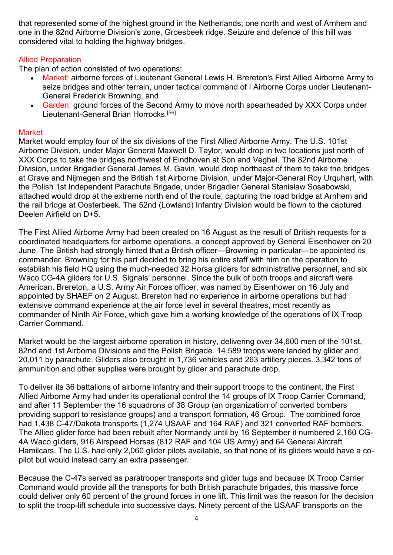that represented some of the highest ground in the Netherlands; one north and west of Arnhem and one in the 82nd Airborne Division's zone, Groesbeek ridge. Seizure and defence of this hill was considered vital to holding the highway bridges.

# Allied Preparation

The plan of action consisted of two operations:

- Market: airborne forces of Lieutenant General Lewis H. Brereton's First Allied Airborne Army to seize bridges and other terrain, under tactical command of I Airborne Corps under Lieutenant-General Frederick Browning, and
- Garden: ground forces of the Second Army to move north spearheaded by XXX Corps under Lieutenant-General Brian Horrocks.[56]

## **Market**

Market would employ four of the six divisions of the First Allied Airborne Army. The U.S. 101st Airborne Division, under Major General Maxwell D. Taylor, would drop in two locations just north of XXX Corps to take the bridges northwest of Eindhoven at Son and Veghel. The 82nd Airborne Division, under Brigadier General James M. Gavin, would drop northeast of them to take the bridges at Grave and Nijmegen and the British 1st Airborne Division, under Major-General Roy Urquhart, with the Polish 1st Independent Parachute Brigade, under Brigadier General Stanisław Sosabowski, attached would drop at the extreme north end of the route, capturing the road bridge at Arnhem and the rail bridge at Oosterbeek. The 52nd (Lowland) Infantry Division would be flown to the captured Deelen Airfield on D+5.

The First Allied Airborne Army had been created on 16 August as the result of British requests for a coordinated headquarters for airborne operations, a concept approved by General Eisenhower on 20 June. The British had strongly hinted that a British officer—Browning in particular—be appointed its commander. Browning for his part decided to bring his entire staff with him on the operation to establish his field HQ using the much-needed 32 Horsa gliders for administrative personnel, and six Waco CG-4A gliders for U.S. Signals' personnel. Since the bulk of both troops and aircraft were American, Brereton, a U.S. Army Air Forces officer, was named by Eisenhower on 16 July and appointed by SHAEF on 2 August. Brereton had no experience in airborne operations but had extensive command experience at the air force level in several theatres, most recently as commander of Ninth Air Force, which gave him a working knowledge of the operations of IX Troop Carrier Command.

Market would be the largest airborne operation in history, delivering over 34,600 men of the 101st, 82nd and 1st Airborne Divisions and the Polish Brigade. 14,589 troops were landed by glider and 20,011 by parachute. Gliders also brought in 1,736 vehicles and 263 artillery pieces. 3,342 tons of ammunition and other supplies were brought by glider and parachute drop.

To deliver its 36 battalions of airborne infantry and their support troops to the continent, the First Allied Airborne Army had under its operational control the 14 groups of IX Troop Carrier Command, and after 11 September the 16 squadrons of 38 Group (an organization of converted bombers providing support to resistance groups) and a transport formation, 46 Group. The combined force had 1,438 C-47/Dakota transports (1,274 USAAF and 164 RAF) and 321 converted RAF bombers. The Allied glider force had been rebuilt after Normandy until by 16 September it numbered 2,160 CG-4A Waco gliders, 916 Airspeed Horsas (812 RAF and 104 US Army) and 64 General Aircraft Hamilcars. The U.S. had only 2,060 glider pilots available, so that none of its gliders would have a copilot but would instead carry an extra passenger.

Because the C-47s served as paratrooper transports and glider tugs and because IX Troop Carrier Command would provide all the transports for both British parachute brigades, this massive force could deliver only 60 percent of the ground forces in one lift. This limit was the reason for the decision to split the troop-lift schedule into successive days. Ninety percent of the USAAF transports on the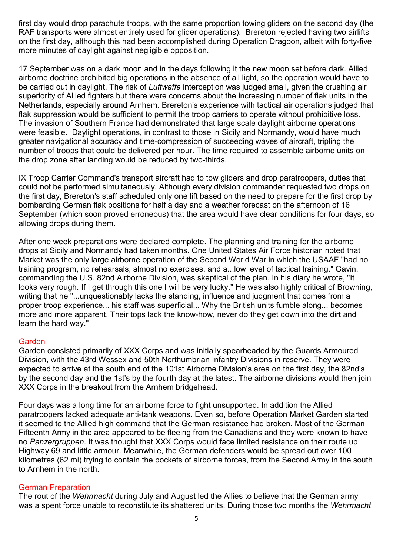first day would drop parachute troops, with the same proportion towing gliders on the second day (the RAF transports were almost entirely used for glider operations). Brereton rejected having two airlifts on the first day, although this had been accomplished during Operation Dragoon, albeit with forty-five more minutes of daylight against negligible opposition.

17 September was on a dark moon and in the days following it the new moon set before dark. Allied airborne doctrine prohibited big operations in the absence of all light, so the operation would have to be carried out in daylight. The risk of *Luftwaffe* interception was judged small, given the crushing air superiority of Allied fighters but there were concerns about the increasing number of flak units in the Netherlands, especially around Arnhem. Brereton's experience with tactical air operations judged that flak suppression would be sufficient to permit the troop carriers to operate without prohibitive loss. The invasion of Southern France had demonstrated that large scale daylight airborne operations were feasible. Daylight operations, in contrast to those in Sicily and Normandy, would have much greater navigational accuracy and time-compression of succeeding waves of aircraft, tripling the number of troops that could be delivered per hour. The time required to assemble airborne units on the drop zone after landing would be reduced by two-thirds.

IX Troop Carrier Command's transport aircraft had to tow gliders and drop paratroopers, duties that could not be performed simultaneously. Although every division commander requested two drops on the first day, Brereton's staff scheduled only one lift based on the need to prepare for the first drop by bombarding German flak positions for half a day and a weather forecast on the afternoon of 16 September (which soon proved erroneous) that the area would have clear conditions for four days, so allowing drops during them.

After one week preparations were declared complete. The planning and training for the airborne drops at Sicily and Normandy had taken months. One United States Air Force historian noted that Market was the only large airborne operation of the Second World War in which the USAAF "had no training program, no rehearsals, almost no exercises, and a...low level of tactical training." Gavin, commanding the U.S. 82nd Airborne Division, was skeptical of the plan. In his diary he wrote, "It looks very rough. If I get through this one I will be very lucky." He was also highly critical of Browning, writing that he "...unquestionably lacks the standing, influence and judgment that comes from a proper troop experience... his staff was superficial... Why the British units fumble along... becomes more and more apparent. Their tops lack the know-how, never do they get down into the dirt and learn the hard way."

## **Garden**

Garden consisted primarily of XXX Corps and was initially spearheaded by the Guards Armoured Division, with the 43rd Wessex and 50th Northumbrian Infantry Divisions in reserve. They were expected to arrive at the south end of the 101st Airborne Division's area on the first day, the 82nd's by the second day and the 1st's by the fourth day at the latest. The airborne divisions would then join XXX Corps in the breakout from the Arnhem bridgehead.

Four days was a long time for an airborne force to fight unsupported. In addition the Allied paratroopers lacked adequate anti-tank weapons. Even so, before Operation Market Garden started it seemed to the Allied high command that the German resistance had broken. Most of the German Fifteenth Army in the area appeared to be fleeing from the Canadians and they were known to have no *Panzergruppen*. It was thought that XXX Corps would face limited resistance on their route up Highway 69 and little armour. Meanwhile, the German defenders would be spread out over 100 kilometres (62 mi) trying to contain the pockets of airborne forces, from the Second Army in the south to Arnhem in the north.

## German Preparation

The rout of the *Wehrmacht* during July and August led the Allies to believe that the German army was a spent force unable to reconstitute its shattered units. During those two months the *Wehrmacht*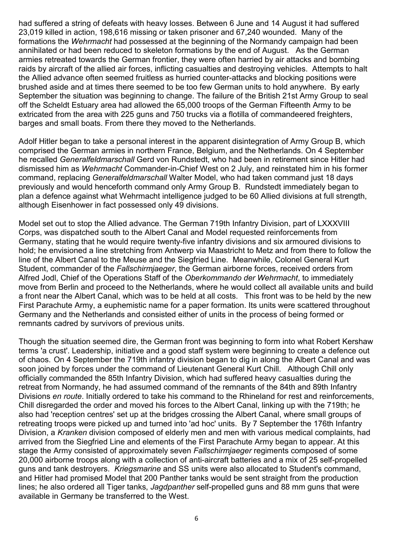had suffered a string of defeats with heavy losses. Between 6 June and 14 August it had suffered 23,019 killed in action, 198,616 missing or taken prisoner and 67,240 wounded. Many of the formations the *Wehrmacht* had possessed at the beginning of the Normandy campaign had been annihilated or had been reduced to skeleton formations by the end of August. As the German armies retreated towards the German frontier, they were often harried by air attacks and bombing raids by aircraft of the allied air forces, inflicting casualties and destroying vehicles. Attempts to halt the Allied advance often seemed fruitless as hurried counter-attacks and blocking positions were brushed aside and at times there seemed to be too few German units to hold anywhere. By early September the situation was beginning to change. The failure of the British 21st Army Group to seal off the Scheldt Estuary area had allowed the 65,000 troops of the German Fifteenth Army to be extricated from the area with 225 guns and 750 trucks via a flotilla of commandeered freighters, barges and small boats. From there they moved to the Netherlands.

Adolf Hitler began to take a personal interest in the apparent disintegration of Army Group B, which comprised the German armies in northern France, Belgium, and the Netherlands. On 4 September he recalled *Generalfeldmarschall* Gerd von Rundstedt, who had been in retirement since Hitler had dismissed him as *Wehrmacht* Commander-in-Chief West on 2 July, and reinstated him in his former command, replacing *Generalfeldmarschall* Walter Model, who had taken command just 18 days previously and would henceforth command only Army Group B. Rundstedt immediately began to plan a defence against what Wehrmacht intelligence judged to be 60 Allied divisions at full strength, although Eisenhower in fact possessed only 49 divisions.

Model set out to stop the Allied advance. The German 719th Infantry Division, part of LXXXVIII Corps, was dispatched south to the Albert Canal and Model requested reinforcements from Germany, stating that he would require twenty-five infantry divisions and six armoured divisions to hold; he envisioned a line stretching from Antwerp via Maastricht to Metz and from there to follow the line of the Albert Canal to the Meuse and the Siegfried Line. Meanwhile, Colonel General Kurt Student, commander of the *Fallschirmjaeger*, the German airborne forces, received orders from Alfred Jodl, Chief of the Operations Staff of the *Oberkommando der Wehrmacht*, to immediately move from Berlin and proceed to the Netherlands, where he would collect all available units and build a front near the Albert Canal, which was to be held at all costs. This front was to be held by the new First Parachute Army, a euphemistic name for a paper formation. Its units were scattered throughout Germany and the Netherlands and consisted either of units in the process of being formed or remnants cadred by survivors of previous units.

Though the situation seemed dire, the German front was beginning to form into what Robert Kershaw terms 'a crust'. Leadership, initiative and a good staff system were beginning to create a defence out of chaos. On 4 September the 719th infantry division began to dig in along the Albert Canal and was soon joined by forces under the command of Lieutenant General Kurt Chill. Although Chill only officially commanded the 85th Infantry Division, which had suffered heavy casualties during the retreat from Normandy, he had assumed command of the remnants of the 84th and 89th Infantry Divisions *en route*. Initially ordered to take his command to the Rhineland for rest and reinforcements, Chill disregarded the order and moved his forces to the Albert Canal, linking up with the 719th; he also had 'reception centres' set up at the bridges crossing the Albert Canal, where small groups of retreating troops were picked up and turned into 'ad hoc' units. By 7 September the 176th Infantry Division, a *Kranken* division composed of elderly men and men with various medical complaints, had arrived from the Siegfried Line and elements of the First Parachute Army began to appear. At this stage the Army consisted of approximately seven *Fallschirmjaeger* regiments composed of some 20,000 airborne troops along with a collection of anti-aircraft batteries and a mix of 25 self-propelled guns and tank destroyers. *Kriegsmarine* and SS units were also allocated to Student's command, and Hitler had promised Model that 200 Panther tanks would be sent straight from the production lines; he also ordered all Tiger tanks, *Jagdpanther* self-propelled guns and 88 mm guns that were available in Germany be transferred to the West.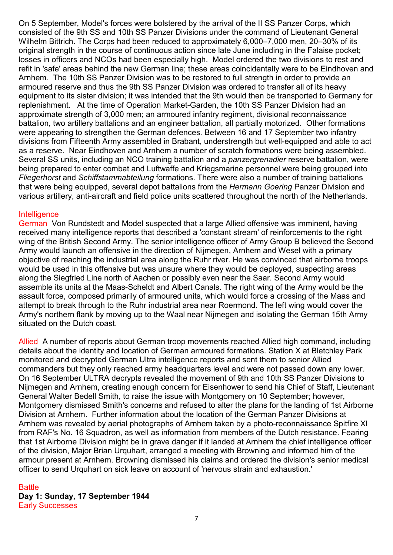On 5 September, Model's forces were bolstered by the arrival of the II SS Panzer Corps, which consisted of the 9th SS and 10th SS Panzer Divisions under the command of Lieutenant General Wilhelm Bittrich. The Corps had been reduced to approximately 6,000–7,000 men, 20–30% of its original strength in the course of continuous action since late June including in the Falaise pocket; losses in officers and NCOs had been especially high. Model ordered the two divisions to rest and refit in 'safe' areas behind the new German line; these areas coincidentally were to be Eindhoven and Arnhem. The 10th SS Panzer Division was to be restored to full strength in order to provide an armoured reserve and thus the 9th SS Panzer Division was ordered to transfer all of its heavy equipment to its sister division; it was intended that the 9th would then be transported to Germany for replenishment. At the time of Operation Market-Garden, the 10th SS Panzer Division had an approximate strength of 3,000 men; an armoured infantry regiment, divisional reconnaissance battalion, two artillery battalions and an engineer battalion, all partially motorized. Other formations were appearing to strengthen the German defences. Between 16 and 17 September two infantry divisions from Fifteenth Army assembled in Brabant, understrength but well-equipped and able to act as a reserve. Near Eindhoven and Arnhem a number of scratch formations were being assembled. Several SS units, including an NCO training battalion and a *panzergrenadier* reserve battalion, were being prepared to enter combat and Luftwaffe and Kriegsmarine personnel were being grouped into *Fliegerhorst* and *Schiffstammabteilung* formations. There were also a number of training battalions that were being equipped, several depot battalions from the *Hermann Goering* Panzer Division and various artillery, anti-aircraft and field police units scattered throughout the north of the Netherlands.

## **Intelligence**

German Von Rundstedt and Model suspected that a large Allied offensive was imminent, having received many intelligence reports that described a 'constant stream' of reinforcements to the right wing of the British Second Army. The senior intelligence officer of Army Group B believed the Second Army would launch an offensive in the direction of Nijmegen, Arnhem and Wesel with a primary objective of reaching the industrial area along the Ruhr river. He was convinced that airborne troops would be used in this offensive but was unsure where they would be deployed, suspecting areas along the Siegfried Line north of Aachen or possibly even near the Saar. Second Army would assemble its units at the Maas-Scheldt and Albert Canals. The right wing of the Army would be the assault force, composed primarily of armoured units, which would force a crossing of the Maas and attempt to break through to the Ruhr industrial area near Roermond. The left wing would cover the Army's northern flank by moving up to the Waal near Nijmegen and isolating the German 15th Army situated on the Dutch coast.

Allied A number of reports about German troop movements reached Allied high command, including details about the identity and location of German armoured formations. Station X at Bletchley Park monitored and decrypted German Ultra intelligence reports and sent them to senior Allied commanders but they only reached army headquarters level and were not passed down any lower. On 16 September ULTRA decrypts revealed the movement of 9th and 10th SS Panzer Divisions to Nijmegen and Arnhem, creating enough concern for Eisenhower to send his Chief of Staff, Lieutenant General Walter Bedell Smith, to raise the issue with Montgomery on 10 September; however, Montgomery dismissed Smith's concerns and refused to alter the plans for the landing of 1st Airborne Division at Arnhem. Further information about the location of the German Panzer Divisions at Arnhem was revealed by aerial photographs of Arnhem taken by a photo-reconnaissance Spitfire XI from RAF's No. 16 Squadron, as well as information from members of the Dutch resistance. Fearing that 1st Airborne Division might be in grave danger if it landed at Arnhem the chief intelligence officer of the division, Major Brian Urquhart, arranged a meeting with Browning and informed him of the armour present at Arnhem. Browning dismissed his claims and ordered the division's senior medical officer to send Urquhart on sick leave on account of 'nervous strain and exhaustion.'

#### **Battle Day 1: Sunday, 17 September 1944**  Early Successes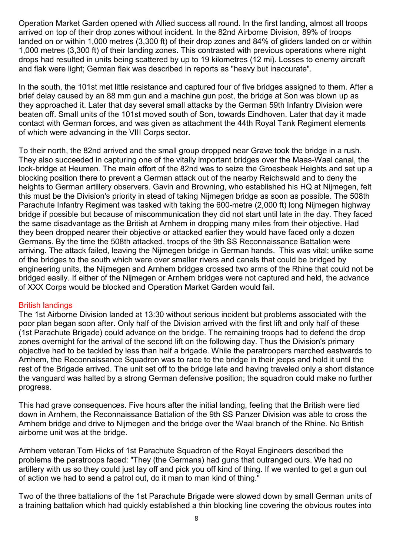Operation Market Garden opened with Allied success all round. In the first landing, almost all troops arrived on top of their drop zones without incident. In the 82nd Airborne Division, 89% of troops landed on or within 1,000 metres (3,300 ft) of their drop zones and 84% of gliders landed on or within 1,000 metres (3,300 ft) of their landing zones. This contrasted with previous operations where night drops had resulted in units being scattered by up to 19 kilometres (12 mi). Losses to enemy aircraft and flak were light; German flak was described in reports as "heavy but inaccurate".

In the south, the 101st met little resistance and captured four of five bridges assigned to them. After a brief delay caused by an 88 mm gun and a machine gun post, the bridge at Son was blown up as they approached it. Later that day several small attacks by the German 59th Infantry Division were beaten off. Small units of the 101st moved south of Son, towards Eindhoven. Later that day it made contact with German forces, and was given as attachment the 44th Royal Tank Regiment elements of which were advancing in the VIII Corps sector.

To their north, the 82nd arrived and the small group dropped near Grave took the bridge in a rush. They also succeeded in capturing one of the vitally important bridges over the Maas-Waal canal, the lock-bridge at Heumen. The main effort of the 82nd was to seize the Groesbeek Heights and set up a blocking position there to prevent a German attack out of the nearby Reichswald and to deny the heights to German artillery observers. Gavin and Browning, who established his HQ at Nijmegen, felt this must be the Division's priority in stead of taking Nijmegen bridge as soon as possible. The 508th Parachute Infantry Regiment was tasked with taking the 600-metre (2,000 ft) long Nijmegen highway bridge if possible but because of miscommunication they did not start until late in the day. They faced the same disadvantage as the British at Arnhem in dropping many miles from their objective. Had they been dropped nearer their objective or attacked earlier they would have faced only a dozen Germans. By the time the 508th attacked, troops of the 9th SS Reconnaissance Battalion were arriving. The attack failed, leaving the Nijmegen bridge in German hands. This was vital; unlike some of the bridges to the south which were over smaller rivers and canals that could be bridged by engineering units, the Nijmegen and Arnhem bridges crossed two arms of the Rhine that could not be bridged easily. If either of the Nijmegen or Arnhem bridges were not captured and held, the advance of XXX Corps would be blocked and Operation Market Garden would fail.

## British landings

The 1st Airborne Division landed at 13:30 without serious incident but problems associated with the poor plan began soon after. Only half of the Division arrived with the first lift and only half of these (1st Parachute Brigade) could advance on the bridge. The remaining troops had to defend the drop zones overnight for the arrival of the second lift on the following day. Thus the Division's primary objective had to be tackled by less than half a brigade. While the paratroopers marched eastwards to Arnhem, the Reconnaissance Squadron was to race to the bridge in their jeeps and hold it until the rest of the Brigade arrived. The unit set off to the bridge late and having traveled only a short distance the vanguard was halted by a strong German defensive position; the squadron could make no further progress.

This had grave consequences. Five hours after the initial landing, feeling that the British were tied down in Arnhem, the Reconnaissance Battalion of the 9th SS Panzer Division was able to cross the Arnhem bridge and drive to Nijmegen and the bridge over the Waal branch of the Rhine. No British airborne unit was at the bridge.

Arnhem veteran Tom Hicks of 1st Parachute Squadron of the Royal Engineers described the problems the paratroops faced: "They (the Germans) had guns that outranged ours. We had no artillery with us so they could just lay off and pick you off kind of thing. If we wanted to get a gun out of action we had to send a patrol out, do it man to man kind of thing."

Two of the three battalions of the 1st Parachute Brigade were slowed down by small German units of a training battalion which had quickly established a thin blocking line covering the obvious routes into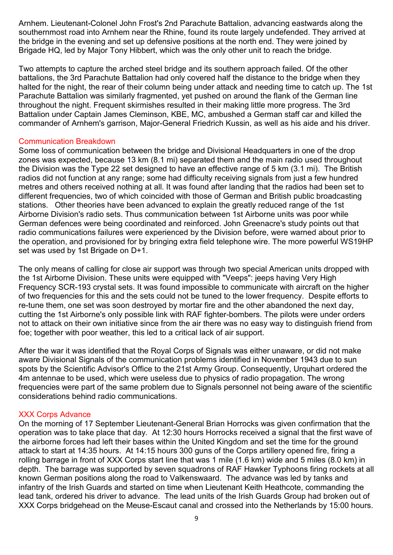Arnhem. Lieutenant-Colonel John Frost's 2nd Parachute Battalion, advancing eastwards along the southernmost road into Arnhem near the Rhine, found its route largely undefended. They arrived at the bridge in the evening and set up defensive positions at the north end. They were joined by Brigade HQ, led by Major Tony Hibbert, which was the only other unit to reach the bridge.

Two attempts to capture the arched steel bridge and its southern approach failed. Of the other battalions, the 3rd Parachute Battalion had only covered half the distance to the bridge when they halted for the night, the rear of their column being under attack and needing time to catch up. The 1st Parachute Battalion was similarly fragmented, yet pushed on around the flank of the German line throughout the night. Frequent skirmishes resulted in their making little more progress. The 3rd Battalion under Captain James Cleminson, KBE, MC, ambushed a German staff car and killed the commander of Arnhem's garrison, Major-General Friedrich Kussin, as well as his aide and his driver.

#### Communication Breakdown

Some loss of communication between the bridge and Divisional Headquarters in one of the drop zones was expected, because 13 km (8.1 mi) separated them and the main radio used throughout the Division was the Type 22 set designed to have an effective range of 5 km (3.1 mi). The British radios did not function at any range; some had difficulty receiving signals from just a few hundred metres and others received nothing at all. It was found after landing that the radios had been set to different frequencies, two of which coincided with those of German and British public broadcasting stations. Other theories have been advanced to explain the greatly reduced range of the 1st Airborne Division's radio sets. Thus communication between 1st Airborne units was poor while German defences were being coordinated and reinforced. John Greenacre's study points out that radio communications failures were experienced by the Division before, were warned about prior to the operation, and provisioned for by bringing extra field telephone wire. The more powerful WS19HP set was used by 1st Brigade on D+1.

The only means of calling for close air support was through two special American units dropped with the 1st Airborne Division. These units were equipped with "Veeps": jeeps having Very High Frequency SCR-193 crystal sets. It was found impossible to communicate with aircraft on the higher of two frequencies for this and the sets could not be tuned to the lower frequency. Despite efforts to re-tune them, one set was soon destroyed by mortar fire and the other abandoned the next day, cutting the 1st Airborne's only possible link with RAF fighter-bombers. The pilots were under orders not to attack on their own initiative since from the air there was no easy way to distinguish friend from foe; together with poor weather, this led to a critical lack of air support.

After the war it was identified that the Royal Corps of Signals was either unaware, or did not make aware Divisional Signals of the communication problems identified in November 1943 due to sun spots by the Scientific Advisor's Office to the 21st Army Group. Consequently, Urquhart ordered the 4m antennae to be used, which were useless due to physics of radio propagation. The wrong frequencies were part of the same problem due to Signals personnel not being aware of the scientific considerations behind radio communications.

## XXX Corps Advance

On the morning of 17 September Lieutenant-General Brian Horrocks was given confirmation that the operation was to take place that day. At 12:30 hours Horrocks received a signal that the first wave of the airborne forces had left their bases within the United Kingdom and set the time for the ground attack to start at 14:35 hours. At 14:15 hours 300 guns of the Corps artillery opened fire, firing a rolling barrage in front of XXX Corps start line that was 1 mile (1.6 km) wide and 5 miles (8.0 km) in depth. The barrage was supported by seven squadrons of RAF Hawker Typhoons firing rockets at all known German positions along the road to Valkenswaard. The advance was led by tanks and infantry of the Irish Guards and started on time when Lieutenant Keith Heathcote, commanding the lead tank, ordered his driver to advance. The lead units of the Irish Guards Group had broken out of XXX Corps bridgehead on the Meuse-Escaut canal and crossed into the Netherlands by 15:00 hours.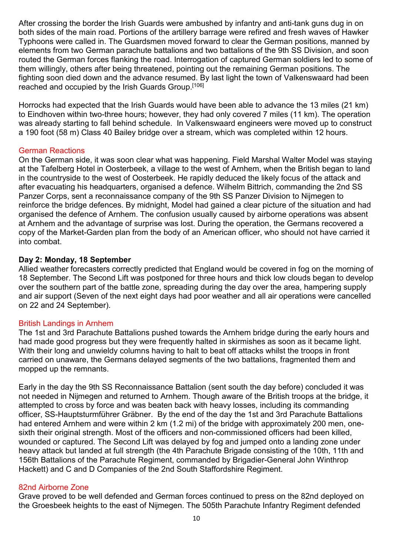After crossing the border the Irish Guards were ambushed by infantry and anti-tank guns dug in on both sides of the main road. Portions of the artillery barrage were refired and fresh waves of Hawker Typhoons were called in. The Guardsmen moved forward to clear the German positions, manned by elements from two German parachute battalions and two battalions of the 9th SS Division, and soon routed the German forces flanking the road. Interrogation of captured German soldiers led to some of them willingly, others after being threatened, pointing out the remaining German positions. The fighting soon died down and the advance resumed. By last light the town of Valkenswaard had been reached and occupied by the Irish Guards Group.[106]

Horrocks had expected that the Irish Guards would have been able to advance the 13 miles (21 km) to Eindhoven within two-three hours; however, they had only covered 7 miles (11 km). The operation was already starting to fall behind schedule. In Valkenswaard engineers were moved up to construct a 190 foot (58 m) Class 40 Bailey bridge over a stream, which was completed within 12 hours.

## German Reactions

On the German side, it was soon clear what was happening. Field Marshal Walter Model was staying at the Tafelberg Hotel in Oosterbeek, a village to the west of Arnhem, when the British began to land in the countryside to the west of Oosterbeek. He rapidly deduced the likely focus of the attack and after evacuating his headquarters, organised a defence. Wilhelm Bittrich, commanding the 2nd SS Panzer Corps, sent a reconnaissance company of the 9th SS Panzer Division to Nijmegen to reinforce the bridge defences. By midnight, Model had gained a clear picture of the situation and had organised the defence of Arnhem. The confusion usually caused by airborne operations was absent at Arnhem and the advantage of surprise was lost. During the operation, the Germans recovered a copy of the Market-Garden plan from the body of an American officer, who should not have carried it into combat.

#### **Day 2: Monday, 18 September**

Allied weather forecasters correctly predicted that England would be covered in fog on the morning of 18 September. The Second Lift was postponed for three hours and thick low clouds began to develop over the southern part of the battle zone, spreading during the day over the area, hampering supply and air support (Seven of the next eight days had poor weather and all air operations were cancelled on 22 and 24 September).

## British Landings in Arnhem

The 1st and 3rd Parachute Battalions pushed towards the Arnhem bridge during the early hours and had made good progress but they were frequently halted in skirmishes as soon as it became light. With their long and unwieldy columns having to halt to beat off attacks whilst the troops in front carried on unaware, the Germans delayed segments of the two battalions, fragmented them and mopped up the remnants.

Early in the day the 9th SS Reconnaissance Battalion (sent south the day before) concluded it was not needed in Nijmegen and returned to Arnhem. Though aware of the British troops at the bridge, it attempted to cross by force and was beaten back with heavy losses, including its commanding officer, SS-Hauptsturmführer Gräbner. By the end of the day the 1st and 3rd Parachute Battalions had entered Arnhem and were within 2 km (1.2 mi) of the bridge with approximately 200 men, onesixth their original strength. Most of the officers and non-commissioned officers had been killed, wounded or captured. The Second Lift was delayed by fog and jumped onto a landing zone under heavy attack but landed at full strength (the 4th Parachute Brigade consisting of the 10th, 11th and 156th Battalions of the Parachute Regiment, commanded by Brigadier-General John Winthrop Hackett) and C and D Companies of the 2nd South Staffordshire Regiment.

## 82nd Airborne Zone

Grave proved to be well defended and German forces continued to press on the 82nd deployed on the Groesbeek heights to the east of Nijmegen. The 505th Parachute Infantry Regiment defended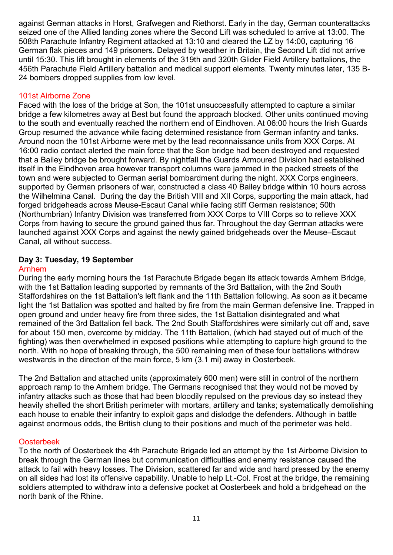against German attacks in Horst, Grafwegen and Riethorst. Early in the day, German counterattacks seized one of the Allied landing zones where the Second Lift was scheduled to arrive at 13:00. The 508th Parachute Infantry Regiment attacked at 13:10 and cleared the LZ by 14:00, capturing 16 German flak pieces and 149 prisoners. Delayed by weather in Britain, the Second Lift did not arrive until 15:30. This lift brought in elements of the 319th and 320th Glider Field Artillery battalions, the 456th Parachute Field Artillery battalion and medical support elements. Twenty minutes later, 135 B-24 bombers dropped supplies from low level.

# 101st Airborne Zone

Faced with the loss of the bridge at Son, the 101st unsuccessfully attempted to capture a similar bridge a few kilometres away at Best but found the approach blocked. Other units continued moving to the south and eventually reached the northern end of Eindhoven. At 06:00 hours the Irish Guards Group resumed the advance while facing determined resistance from German infantry and tanks. Around noon the 101st Airborne were met by the lead reconnaissance units from XXX Corps. At 16:00 radio contact alerted the main force that the Son bridge had been destroyed and requested that a Bailey bridge be brought forward. By nightfall the Guards Armoured Division had established itself in the Eindhoven area however transport columns were jammed in the packed streets of the town and were subjected to German aerial bombardment during the night. XXX Corps engineers, supported by German prisoners of war, constructed a class 40 Bailey bridge within 10 hours across the Wilhelmina Canal. During the day the British VIII and XII Corps, supporting the main attack, had forged bridgeheads across Meuse-Escaut Canal while facing stiff German resistance; 50th (Northumbrian) Infantry Division was transferred from XXX Corps to VIII Corps so to relieve XXX Corps from having to secure the ground gained thus far. Throughout the day German attacks were launched against XXX Corps and against the newly gained bridgeheads over the Meuse–Escaut Canal, all without success.

## **Day 3: Tuesday, 19 September**

## Arnhem

During the early morning hours the 1st Parachute Brigade began its attack towards Arnhem Bridge, with the 1st Battalion leading supported by remnants of the 3rd Battalion, with the 2nd South Staffordshires on the 1st Battalion's left flank and the 11th Battalion following. As soon as it became light the 1st Battalion was spotted and halted by fire from the main German defensive line. Trapped in open ground and under heavy fire from three sides, the 1st Battalion disintegrated and what remained of the 3rd Battalion fell back. The 2nd South Staffordshires were similarly cut off and, save for about 150 men, overcome by midday. The 11th Battalion, (which had stayed out of much of the fighting) was then overwhelmed in exposed positions while attempting to capture high ground to the north. With no hope of breaking through, the 500 remaining men of these four battalions withdrew westwards in the direction of the main force, 5 km (3.1 mi) away in Oosterbeek.

The 2nd Battalion and attached units (approximately 600 men) were still in control of the northern approach ramp to the Arnhem bridge. The Germans recognised that they would not be moved by infantry attacks such as those that had been bloodily repulsed on the previous day so instead they heavily shelled the short British perimeter with mortars, artillery and tanks; systematically demolishing each house to enable their infantry to exploit gaps and dislodge the defenders. Although in battle against enormous odds, the British clung to their positions and much of the perimeter was held.

## Oosterbeek

To the north of Oosterbeek the 4th Parachute Brigade led an attempt by the 1st Airborne Division to break through the German lines but communication difficulties and enemy resistance caused the attack to fail with heavy losses. The Division, scattered far and wide and hard pressed by the enemy on all sides had lost its offensive capability. Unable to help Lt.-Col. Frost at the bridge, the remaining soldiers attempted to withdraw into a defensive pocket at Oosterbeek and hold a bridgehead on the north bank of the Rhine.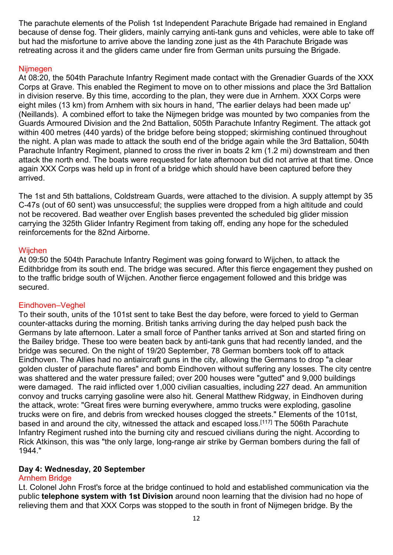The parachute elements of the Polish 1st Independent Parachute Brigade had remained in England because of dense fog. Their gliders, mainly carrying anti-tank guns and vehicles, were able to take off but had the misfortune to arrive above the landing zone just as the 4th Parachute Brigade was retreating across it and the gliders came under fire from German units pursuing the Brigade.

### Nijmegen

At 08:20, the 504th Parachute Infantry Regiment made contact with the Grenadier Guards of the XXX Corps at Grave. This enabled the Regiment to move on to other missions and place the 3rd Battalion in division reserve. By this time, according to the plan, they were due in Arnhem. XXX Corps were eight miles (13 km) from Arnhem with six hours in hand, 'The earlier delays had been made up' (Neillands). A combined effort to take the Nijmegen bridge was mounted by two companies from the Guards Armoured Division and the 2nd Battalion, 505th Parachute Infantry Regiment. The attack got within 400 metres (440 yards) of the bridge before being stopped; skirmishing continued throughout the night. A plan was made to attack the south end of the bridge again while the 3rd Battalion, 504th Parachute Infantry Regiment, planned to cross the river in boats 2 km (1.2 mi) downstream and then attack the north end. The boats were requested for late afternoon but did not arrive at that time. Once again XXX Corps was held up in front of a bridge which should have been captured before they arrived.

The 1st and 5th battalions, Coldstream Guards, were attached to the division. A supply attempt by 35 C-47s (out of 60 sent) was unsuccessful; the supplies were dropped from a high altitude and could not be recovered. Bad weather over English bases prevented the scheduled big glider mission carrying the 325th Glider Infantry Regiment from taking off, ending any hope for the scheduled reinforcements for the 82nd Airborne.

#### **Wijchen**

At 09:50 the 504th Parachute Infantry Regiment was going forward to Wijchen, to attack the Edithbridge from its south end. The bridge was secured. After this fierce engagement they pushed on to the traffic bridge south of Wijchen. Another fierce engagement followed and this bridge was secured.

## Eindhoven–Veghel

To their south, units of the 101st sent to take Best the day before, were forced to yield to German counter-attacks during the morning. British tanks arriving during the day helped push back the Germans by late afternoon. Later a small force of Panther tanks arrived at Son and started firing on the Bailey bridge. These too were beaten back by anti-tank guns that had recently landed, and the bridge was secured. On the night of 19/20 September, 78 German bombers took off to attack Eindhoven. The Allies had no antiaircraft guns in the city, allowing the Germans to drop "a clear golden cluster of parachute flares" and bomb Eindhoven without suffering any losses. The city centre was shattered and the water pressure failed; over 200 houses were "gutted" and 9,000 buildings were damaged. The raid inflicted over 1,000 civilian casualties, including 227 dead. An ammunition convoy and trucks carrying gasoline were also hit. General Matthew Ridgway, in Eindhoven during the attack, wrote: "Great fires were burning everywhere, ammo trucks were exploding, gasoline trucks were on fire, and debris from wrecked houses clogged the streets." Elements of the 101st, based in and around the city, witnessed the attack and escaped loss.<sup>[117]</sup> The 506th Parachute Infantry Regiment rushed into the burning city and rescued civilians during the night. According to Rick Atkinson, this was "the only large, long-range air strike by German bombers during the fall of 1944."

## **Day 4: Wednesday, 20 September**

## Arnhem Bridge

Lt. Colonel John Frost's force at the bridge continued to hold and established communication via the public **telephone system with 1st Division** around noon learning that the division had no hope of relieving them and that XXX Corps was stopped to the south in front of Nijmegen bridge. By the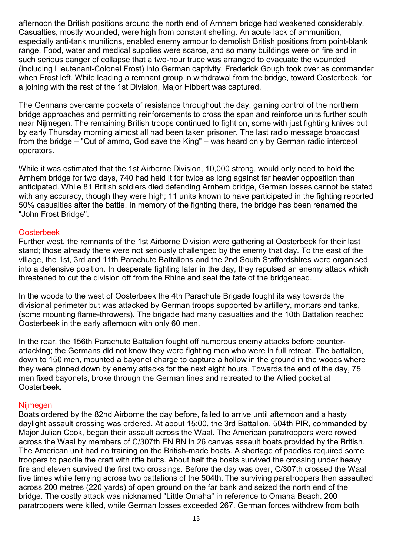afternoon the British positions around the north end of Arnhem bridge had weakened considerably. Casualties, mostly wounded, were high from constant shelling. An acute lack of ammunition, especially anti-tank munitions, enabled enemy armour to demolish British positions from point-blank range. Food, water and medical supplies were scarce, and so many buildings were on fire and in such serious danger of collapse that a two-hour truce was arranged to evacuate the wounded (including Lieutenant-Colonel Frost) into German captivity. Frederick Gough took over as commander when Frost left. While leading a remnant group in withdrawal from the bridge, toward Oosterbeek, for a joining with the rest of the 1st Division, Major Hibbert was captured.

The Germans overcame pockets of resistance throughout the day, gaining control of the northern bridge approaches and permitting reinforcements to cross the span and reinforce units further south near Nijmegen. The remaining British troops continued to fight on, some with just fighting knives but by early Thursday morning almost all had been taken prisoner. The last radio message broadcast from the bridge – "Out of ammo, God save the King" – was heard only by German radio intercept operators.

While it was estimated that the 1st Airborne Division, 10,000 strong, would only need to hold the Arnhem bridge for two days, 740 had held it for twice as long against far heavier opposition than anticipated. While 81 British soldiers died defending Arnhem bridge, German losses cannot be stated with any accuracy, though they were high; 11 units known to have participated in the fighting reported 50% casualties after the battle. In memory of the fighting there, the bridge has been renamed the "John Frost Bridge".

## Oosterbeek

Further west, the remnants of the 1st Airborne Division were gathering at Oosterbeek for their last stand; those already there were not seriously challenged by the enemy that day. To the east of the village, the 1st, 3rd and 11th Parachute Battalions and the 2nd South Staffordshires were organised into a defensive position. In desperate fighting later in the day, they repulsed an enemy attack which threatened to cut the division off from the Rhine and seal the fate of the bridgehead.

In the woods to the west of Oosterbeek the 4th Parachute Brigade fought its way towards the divisional perimeter but was attacked by German troops supported by artillery, mortars and tanks, (some mounting flame-throwers). The brigade had many casualties and the 10th Battalion reached Oosterbeek in the early afternoon with only 60 men.

In the rear, the 156th Parachute Battalion fought off numerous enemy attacks before counterattacking; the Germans did not know they were fighting men who were in full retreat. The battalion, down to 150 men, mounted a bayonet charge to capture a hollow in the ground in the woods where they were pinned down by enemy attacks for the next eight hours. Towards the end of the day, 75 men fixed bayonets, broke through the German lines and retreated to the Allied pocket at Oosterbeek.

#### Nijmegen

Boats ordered by the 82nd Airborne the day before, failed to arrive until afternoon and a hasty daylight assault crossing was ordered. At about 15:00, the 3rd Battalion, 504th PIR, commanded by Major Julian Cook, began their assault across the Waal. The American paratroopers were rowed across the Waal by members of C/307th EN BN in 26 canvas assault boats provided by the British. The American unit had no training on the British-made boats. A shortage of paddles required some troopers to paddle the craft with rifle butts. About half the boats survived the crossing under heavy fire and eleven survived the first two crossings. Before the day was over, C/307th crossed the Waal five times while ferrying across two battalions of the 504th. The surviving paratroopers then assaulted across 200 metres (220 yards) of open ground on the far bank and seized the north end of the bridge. The costly attack was nicknamed "Little Omaha" in reference to Omaha Beach. 200 paratroopers were killed, while German losses exceeded 267. German forces withdrew from both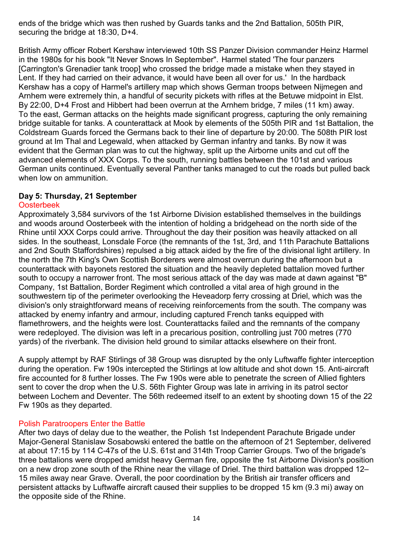ends of the bridge which was then rushed by Guards tanks and the 2nd Battalion, 505th PIR, securing the bridge at 18:30, D+4.

British Army officer Robert Kershaw interviewed 10th SS Panzer Division commander Heinz Harmel in the 1980s for his book "It Never Snows In September". Harmel stated 'The four panzers [Carrington's Grenadier tank troop] who crossed the bridge made a mistake when they stayed in Lent. If they had carried on their advance, it would have been all over for us.' In the hardback Kershaw has a copy of Harmel's artillery map which shows German troops between Nijmegen and Arnhem were extremely thin, a handful of security pickets with rifles at the Betuwe midpoint in Elst. By 22:00, D+4 Frost and Hibbert had been overrun at the Arnhem bridge, 7 miles (11 km) away. To the east, German attacks on the heights made significant progress, capturing the only remaining bridge suitable for tanks. A counterattack at Mook by elements of the 505th PIR and 1st Battalion, the Coldstream Guards forced the Germans back to their line of departure by 20:00. The 508th PIR lost ground at Im Thal and Legewald, when attacked by German infantry and tanks. By now it was evident that the German plan was to cut the highway, split up the Airborne units and cut off the advanced elements of XXX Corps. To the south, running battles between the 101st and various German units continued. Eventually several Panther tanks managed to cut the roads but pulled back when low on ammunition.

## **Day 5: Thursday, 21 September**

## Oosterbeek

Approximately 3,584 survivors of the 1st Airborne Division established themselves in the buildings and woods around Oosterbeek with the intention of holding a bridgehead on the north side of the Rhine until XXX Corps could arrive. Throughout the day their position was heavily attacked on all sides. In the southeast, Lonsdale Force (the remnants of the 1st, 3rd, and 11th Parachute Battalions and 2nd South Staffordshires) repulsed a big attack aided by the fire of the divisional light artillery. In the north the 7th King's Own Scottish Borderers were almost overrun during the afternoon but a counterattack with bayonets restored the situation and the heavily depleted battalion moved further south to occupy a narrower front. The most serious attack of the day was made at dawn against "B" Company, 1st Battalion, Border Regiment which controlled a vital area of high ground in the southwestern tip of the perimeter overlooking the Heveadorp ferry crossing at Driel, which was the division's only straightforward means of receiving reinforcements from the south. The company was attacked by enemy infantry and armour, including captured French tanks equipped with flamethrowers, and the heights were lost. Counterattacks failed and the remnants of the company were redeployed. The division was left in a precarious position, controlling just 700 metres (770 yards) of the riverbank. The division held ground to similar attacks elsewhere on their front.

A supply attempt by RAF Stirlings of 38 Group was disrupted by the only Luftwaffe fighter interception during the operation. Fw 190s intercepted the Stirlings at low altitude and shot down 15. Anti-aircraft fire accounted for 8 further losses. The Fw 190s were able to penetrate the screen of Allied fighters sent to cover the drop when the U.S. 56th Fighter Group was late in arriving in its patrol sector between Lochem and Deventer. The 56th redeemed itself to an extent by shooting down 15 of the 22 Fw 190s as they departed.

# Polish Paratroopers Enter the Battle

After two days of delay due to the weather, the Polish 1st Independent Parachute Brigade under Major-General Stanislaw Sosabowski entered the battle on the afternoon of 21 September, delivered at about 17:15 by 114 C-47s of the U.S. 61st and 314th Troop Carrier Groups. Two of the brigade's three battalions were dropped amidst heavy German fire, opposite the 1st Airborne Division's position on a new drop zone south of the Rhine near the village of Driel. The third battalion was dropped 12– 15 miles away near Grave. Overall, the poor coordination by the British air transfer officers and persistent attacks by Luftwaffe aircraft caused their supplies to be dropped 15 km (9.3 mi) away on the opposite side of the Rhine.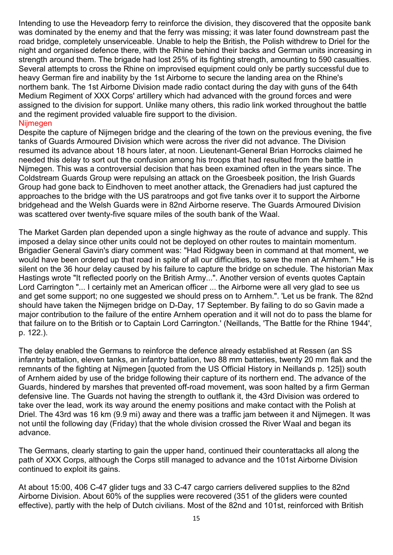Intending to use the Heveadorp ferry to reinforce the division, they discovered that the opposite bank was dominated by the enemy and that the ferry was missing; it was later found downstream past the road bridge, completely unserviceable. Unable to help the British, the Polish withdrew to Driel for the night and organised defence there, with the Rhine behind their backs and German units increasing in strength around them. The brigade had lost 25% of its fighting strength, amounting to 590 casualties. Several attempts to cross the Rhine on improvised equipment could only be partly successful due to heavy German fire and inability by the 1st Airborne to secure the landing area on the Rhine's northern bank. The 1st Airborne Division made radio contact during the day with guns of the 64th Medium Regiment of XXX Corps' artillery which had advanced with the ground forces and were assigned to the division for support. Unlike many others, this radio link worked throughout the battle and the regiment provided valuable fire support to the division.

## Nijmegen

Despite the capture of Nijmegen bridge and the clearing of the town on the previous evening, the five tanks of Guards Armoured Division which were across the river did not advance. The Division resumed its advance about 18 hours later, at noon. Lieutenant-General Brian Horrocks claimed he needed this delay to sort out the confusion among his troops that had resulted from the battle in Nijmegen. This was a controversial decision that has been examined often in the years since. The Coldstream Guards Group were repulsing an attack on the Groesbeek position, the Irish Guards Group had gone back to Eindhoven to meet another attack, the Grenadiers had just captured the approaches to the bridge with the US paratroops and got five tanks over it to support the Airborne bridgehead and the Welsh Guards were in 82nd Airborne reserve. The Guards Armoured Division was scattered over twenty-five square miles of the south bank of the Waal.

The Market Garden plan depended upon a single highway as the route of advance and supply. This imposed a delay since other units could not be deployed on other routes to maintain momentum. Brigadier General Gavin's diary comment was: "Had Ridgway been in command at that moment, we would have been ordered up that road in spite of all our difficulties, to save the men at Arnhem." He is silent on the 36 hour delay caused by his failure to capture the bridge on schedule. The historian Max Hastings wrote "It reflected poorly on the British Army...". Another version of events quotes Captain Lord Carrington "... I certainly met an American officer ... the Airborne were all very glad to see us and get some support; no one suggested we should press on to Arnhem.". 'Let us be frank. The 82nd should have taken the Nijmegen bridge on D-Day, 17 September. By failing to do so Gavin made a major contribution to the failure of the entire Arnhem operation and it will not do to pass the blame for that failure on to the British or to Captain Lord Carrington.' (Neillands, 'The Battle for the Rhine 1944', p. 122.).

The delay enabled the Germans to reinforce the defence already established at Ressen (an SS infantry battalion, eleven tanks, an infantry battalion, two 88 mm batteries, twenty 20 mm flak and the remnants of the fighting at Nijmegen [quoted from the US Official History in Neillands p. 125]) south of Arnhem aided by use of the bridge following their capture of its northern end. The advance of the Guards, hindered by marshes that prevented off-road movement, was soon halted by a firm German defensive line. The Guards not having the strength to outflank it, the 43rd Division was ordered to take over the lead, work its way around the enemy positions and make contact with the Polish at Driel. The 43rd was 16 km (9.9 mi) away and there was a traffic jam between it and Nijmegen. It was not until the following day (Friday) that the whole division crossed the River Waal and began its advance.

The Germans, clearly starting to gain the upper hand, continued their counterattacks all along the path of XXX Corps, although the Corps still managed to advance and the 101st Airborne Division continued to exploit its gains.

At about 15:00, 406 C-47 glider tugs and 33 C-47 cargo carriers delivered supplies to the 82nd Airborne Division. About 60% of the supplies were recovered (351 of the gliders were counted effective), partly with the help of Dutch civilians. Most of the 82nd and 101st, reinforced with British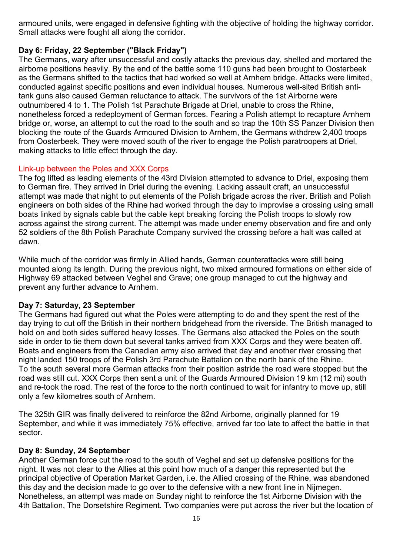armoured units, were engaged in defensive fighting with the objective of holding the highway corridor. Small attacks were fought all along the corridor.

# **Day 6: Friday, 22 September ("Black Friday")**

The Germans, wary after unsuccessful and costly attacks the previous day, shelled and mortared the airborne positions heavily. By the end of the battle some 110 guns had been brought to Oosterbeek as the Germans shifted to the tactics that had worked so well at Arnhem bridge. Attacks were limited, conducted against specific positions and even individual houses. Numerous well-sited British antitank guns also caused German reluctance to attack. The survivors of the 1st Airborne were outnumbered 4 to 1. The Polish 1st Parachute Brigade at Driel, unable to cross the Rhine, nonetheless forced a redeployment of German forces. Fearing a Polish attempt to recapture Arnhem bridge or, worse, an attempt to cut the road to the south and so trap the 10th SS Panzer Division then blocking the route of the Guards Armoured Division to Arnhem, the Germans withdrew 2,400 troops from Oosterbeek. They were moved south of the river to engage the Polish paratroopers at Driel, making attacks to little effect through the day.

## Link-up between the Poles and XXX Corps

The fog lifted as leading elements of the 43rd Division attempted to advance to Driel, exposing them to German fire. They arrived in Driel during the evening. Lacking assault craft, an unsuccessful attempt was made that night to put elements of the Polish brigade across the river. British and Polish engineers on both sides of the Rhine had worked through the day to improvise a crossing using small boats linked by signals cable but the cable kept breaking forcing the Polish troops to slowly row across against the strong current. The attempt was made under enemy observation and fire and only 52 soldiers of the 8th Polish Parachute Company survived the crossing before a halt was called at dawn.

While much of the corridor was firmly in Allied hands, German counterattacks were still being mounted along its length. During the previous night, two mixed armoured formations on either side of Highway 69 attacked between Veghel and Grave; one group managed to cut the highway and prevent any further advance to Arnhem.

# **Day 7: Saturday, 23 September**

The Germans had figured out what the Poles were attempting to do and they spent the rest of the day trying to cut off the British in their northern bridgehead from the riverside. The British managed to hold on and both sides suffered heavy losses. The Germans also attacked the Poles on the south side in order to tie them down but several tanks arrived from XXX Corps and they were beaten off. Boats and engineers from the Canadian army also arrived that day and another river crossing that night landed 150 troops of the Polish 3rd Parachute Battalion on the north bank of the Rhine. To the south several more German attacks from their position astride the road were stopped but the road was still cut. XXX Corps then sent a unit of the Guards Armoured Division 19 km (12 mi) south and re-took the road. The rest of the force to the north continued to wait for infantry to move up, still only a few kilometres south of Arnhem.

The 325th GIR was finally delivered to reinforce the 82nd Airborne, originally planned for 19 September, and while it was immediately 75% effective, arrived far too late to affect the battle in that sector.

## **Day 8: Sunday, 24 September**

Another German force cut the road to the south of Veghel and set up defensive positions for the night. It was not clear to the Allies at this point how much of a danger this represented but the principal objective of Operation Market Garden, i.e. the Allied crossing of the Rhine, was abandoned this day and the decision made to go over to the defensive with a new front line in Nijmegen. Nonetheless, an attempt was made on Sunday night to reinforce the 1st Airborne Division with the 4th Battalion, The Dorsetshire Regiment. Two companies were put across the river but the location of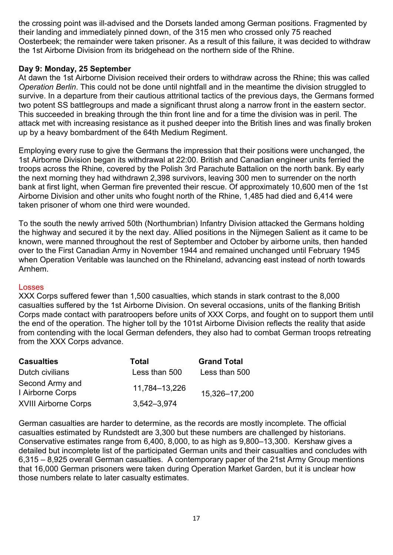the crossing point was ill-advised and the Dorsets landed among German positions. Fragmented by their landing and immediately pinned down, of the 315 men who crossed only 75 reached Oosterbeek; the remainder were taken prisoner. As a result of this failure, it was decided to withdraw the 1st Airborne Division from its bridgehead on the northern side of the Rhine.

## **Day 9: Monday, 25 September**

At dawn the 1st Airborne Division received their orders to withdraw across the Rhine; this was called *Operation Berlin*. This could not be done until nightfall and in the meantime the division struggled to survive. In a departure from their cautious attritional tactics of the previous days, the Germans formed two potent SS battlegroups and made a significant thrust along a narrow front in the eastern sector. This succeeded in breaking through the thin front line and for a time the division was in peril. The attack met with increasing resistance as it pushed deeper into the British lines and was finally broken up by a heavy bombardment of the 64th Medium Regiment.

Employing every ruse to give the Germans the impression that their positions were unchanged, the 1st Airborne Division began its withdrawal at 22:00. British and Canadian engineer units ferried the troops across the Rhine, covered by the Polish 3rd Parachute Battalion on the north bank. By early the next morning they had withdrawn 2,398 survivors, leaving 300 men to surrender on the north bank at first light, when German fire prevented their rescue. Of approximately 10,600 men of the 1st Airborne Division and other units who fought north of the Rhine, 1,485 had died and 6,414 were taken prisoner of whom one third were wounded.

To the south the newly arrived 50th (Northumbrian) Infantry Division attacked the Germans holding the highway and secured it by the next day. Allied positions in the Nijmegen Salient as it came to be known, were manned throughout the rest of September and October by airborne units, then handed over to the First Canadian Army in November 1944 and remained unchanged until February 1945 when Operation Veritable was launched on the Rhineland, advancing east instead of north towards Arnhem.

## Losses

XXX Corps suffered fewer than 1,500 casualties, which stands in stark contrast to the 8,000 casualties suffered by the 1st Airborne Division. On several occasions, units of the flanking British Corps made contact with paratroopers before units of XXX Corps, and fought on to support them until the end of the operation. The higher toll by the 101st Airborne Division reflects the reality that aside from contending with the local German defenders, they also had to combat German troops retreating from the XXX Corps advance.

| <b>Casualties</b>                   | <b>Total</b>  | <b>Grand Total</b> |
|-------------------------------------|---------------|--------------------|
| Dutch civilians                     | Less than 500 | Less than 500      |
| Second Army and<br>I Airborne Corps | 11,784-13,226 | 15,326-17,200      |
| <b>XVIII Airborne Corps</b>         | 3,542-3,974   |                    |

German casualties are harder to determine, as the records are mostly incomplete. The official casualties estimated by Rundstedt are 3,300 but these numbers are challenged by historians. Conservative estimates range from 6,400, 8,000, to as high as 9,800–13,300. Kershaw gives a detailed but incomplete list of the participated German units and their casualties and concludes with 6,315 – 8,925 overall German casualties. A contemporary paper of the 21st Army Group mentions that 16,000 German prisoners were taken during Operation Market Garden, but it is unclear how those numbers relate to later casualty estimates.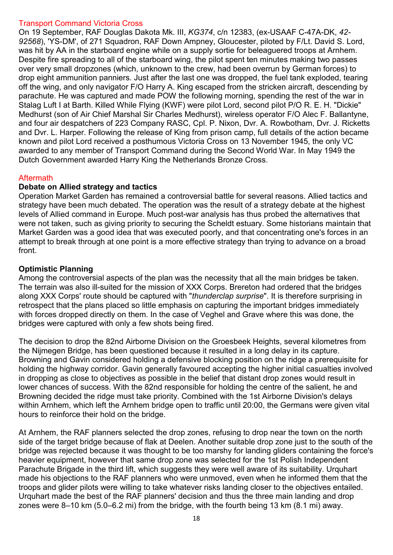## Transport Command Victoria Cross

On 19 September, RAF Douglas Dakota Mk. III, *KG374*, c/n 12383, (ex-USAAF C-47A-DK, *42- 92568*), 'YS-DM', of 271 Squadron, RAF Down Ampney, Gloucester, piloted by F/Lt. David S. Lord, was hit by AA in the starboard engine while on a supply sortie for beleaguered troops at Arnhem. Despite fire spreading to all of the starboard wing, the pilot spent ten minutes making two passes over very small dropzones (which, unknown to the crew, had been overrun by German forces) to drop eight ammunition panniers. Just after the last one was dropped, the fuel tank exploded, tearing off the wing, and only navigator F/O Harry A. King escaped from the stricken aircraft, descending by parachute. He was captured and made POW the following morning, spending the rest of the war in Stalag Luft I at Barth. Killed While Flying (KWF) were pilot Lord, second pilot P/O R. E. H. "Dickie" Medhurst (son of Air Chief Marshal Sir Charles Medhurst), wireless operator F/O Alec F. Ballantyne, and four air despatchers of 223 Company RASC, Cpl. P. Nixon, Dvr. A. Rowbotham, Dvr. J. Ricketts and Dvr. L. Harper. Following the release of King from prison camp, full details of the action became known and pilot Lord received a posthumous Victoria Cross on 13 November 1945, the only VC awarded to any member of Transport Command during the Second World War. In May 1949 the Dutch Government awarded Harry King the Netherlands Bronze Cross.

# **Aftermath**

# **Debate on Allied strategy and tactics**

Operation Market Garden has remained a controversial battle for several reasons. Allied tactics and strategy have been much debated. The operation was the result of a strategy debate at the highest levels of Allied command in Europe. Much post-war analysis has thus probed the alternatives that were not taken, such as giving priority to securing the Scheldt estuary. Some historians maintain that Market Garden was a good idea that was executed poorly, and that concentrating one's forces in an attempt to break through at one point is a more effective strategy than trying to advance on a broad front.

## **Optimistic Planning**

Among the controversial aspects of the plan was the necessity that all the main bridges be taken. The terrain was also ill-suited for the mission of XXX Corps. Brereton had ordered that the bridges along XXX Corps' route should be captured with "*thunderclap surprise*". It is therefore surprising in retrospect that the plans placed so little emphasis on capturing the important bridges immediately with forces dropped directly on them. In the case of Veghel and Grave where this was done, the bridges were captured with only a few shots being fired.

The decision to drop the 82nd Airborne Division on the Groesbeek Heights, several kilometres from the Nijmegen Bridge, has been questioned because it resulted in a long delay in its capture. Browning and Gavin considered holding a defensive blocking position on the ridge a prerequisite for holding the highway corridor. Gavin generally favoured accepting the higher initial casualties involved in dropping as close to objectives as possible in the belief that distant drop zones would result in lower chances of success. With the 82nd responsible for holding the centre of the salient, he and Browning decided the ridge must take priority. Combined with the 1st Airborne Division's delays within Arnhem, which left the Arnhem bridge open to traffic until 20:00, the Germans were given vital hours to reinforce their hold on the bridge.

At Arnhem, the RAF planners selected the drop zones, refusing to drop near the town on the north side of the target bridge because of flak at Deelen. Another suitable drop zone just to the south of the bridge was rejected because it was thought to be too marshy for landing gliders containing the force's heavier equipment, however that same drop zone was selected for the 1st Polish Independent Parachute Brigade in the third lift, which suggests they were well aware of its suitability. Urquhart made his objections to the RAF planners who were unmoved, even when he informed them that the troops and glider pilots were willing to take whatever risks landing closer to the objectives entailed. Urquhart made the best of the RAF planners' decision and thus the three main landing and drop zones were 8–10 km (5.0–6.2 mi) from the bridge, with the fourth being 13 km (8.1 mi) away.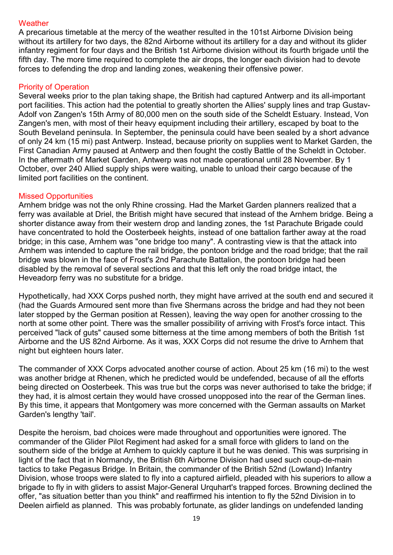## **Weather**

A precarious timetable at the mercy of the weather resulted in the 101st Airborne Division being without its artillery for two days, the 82nd Airborne without its artillery for a day and without its glider infantry regiment for four days and the British 1st Airborne division without its fourth brigade until the fifth day. The more time required to complete the air drops, the longer each division had to devote forces to defending the drop and landing zones, weakening their offensive power.

## Priority of Operation

Several weeks prior to the plan taking shape, the British had captured Antwerp and its all-important port facilities. This action had the potential to greatly shorten the Allies' supply lines and trap Gustav-Adolf von Zangen's 15th Army of 80,000 men on the south side of the Scheldt Estuary. Instead, Von Zangen's men, with most of their heavy equipment including their artillery, escaped by boat to the South Beveland peninsula. In September, the peninsula could have been sealed by a short advance of only 24 km (15 mi) past Antwerp. Instead, because priority on supplies went to Market Garden, the First Canadian Army paused at Antwerp and then fought the costly Battle of the Scheldt in October. In the aftermath of Market Garden, Antwerp was not made operational until 28 November. By 1 October, over 240 Allied supply ships were waiting, unable to unload their cargo because of the limited port facilities on the continent.

## Missed Opportunities

Arnhem bridge was not the only Rhine crossing. Had the Market Garden planners realized that a ferry was available at Driel, the British might have secured that instead of the Arnhem bridge. Being a shorter distance away from their western drop and landing zones, the 1st Parachute Brigade could have concentrated to hold the Oosterbeek heights, instead of one battalion farther away at the road bridge; in this case, Arnhem was "one bridge too many". A contrasting view is that the attack into Arnhem was intended to capture the rail bridge, the pontoon bridge and the road bridge; that the rail bridge was blown in the face of Frost's 2nd Parachute Battalion, the pontoon bridge had been disabled by the removal of several sections and that this left only the road bridge intact, the Heveadorp ferry was no substitute for a bridge.

Hypothetically, had XXX Corps pushed north, they might have arrived at the south end and secured it (had the Guards Armoured sent more than five Shermans across the bridge and had they not been later stopped by the German position at Ressen), leaving the way open for another crossing to the north at some other point. There was the smaller possibility of arriving with Frost's force intact. This perceived "lack of guts" caused some bitterness at the time among members of both the British 1st Airborne and the US 82nd Airborne. As it was, XXX Corps did not resume the drive to Arnhem that night but eighteen hours later.

The commander of XXX Corps advocated another course of action. About 25 km (16 mi) to the west was another bridge at Rhenen, which he predicted would be undefended, because of all the efforts being directed on Oosterbeek. This was true but the corps was never authorised to take the bridge; if they had, it is almost certain they would have crossed unopposed into the rear of the German lines. By this time, it appears that Montgomery was more concerned with the German assaults on Market Garden's lengthy 'tail'.

Despite the heroism, bad choices were made throughout and opportunities were ignored. The commander of the Glider Pilot Regiment had asked for a small force with gliders to land on the southern side of the bridge at Arnhem to quickly capture it but he was denied. This was surprising in light of the fact that in Normandy, the British 6th Airborne Division had used such coup-de-main tactics to take Pegasus Bridge. In Britain, the commander of the British 52nd (Lowland) Infantry Division, whose troops were slated to fly into a captured airfield, pleaded with his superiors to allow a brigade to fly in with gliders to assist Major-General Urquhart's trapped forces. Browning declined the offer, "as situation better than you think" and reaffirmed his intention to fly the 52nd Division in to Deelen airfield as planned. This was probably fortunate, as glider landings on undefended landing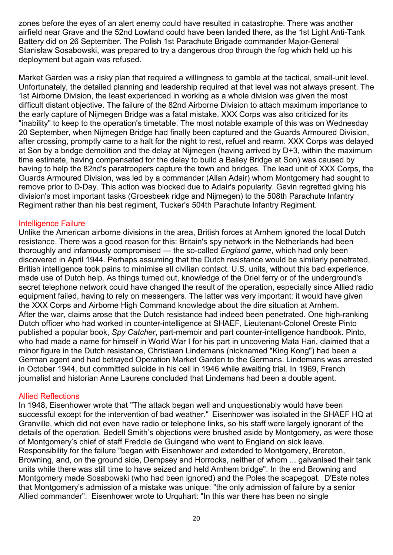zones before the eyes of an alert enemy could have resulted in catastrophe. There was another airfield near Grave and the 52nd Lowland could have been landed there, as the 1st Light Anti-Tank Battery did on 26 September. The Polish 1st Parachute Brigade commander Major-General Stanisław Sosabowski, was prepared to try a dangerous drop through the fog which held up his deployment but again was refused.

Market Garden was a risky plan that required a willingness to gamble at the tactical, small-unit level. Unfortunately, the detailed planning and leadership required at that level was not always present. The 1st Airborne Division, the least experienced in working as a whole division was given the most difficult distant objective. The failure of the 82nd Airborne Division to attach maximum importance to the early capture of Nijmegen Bridge was a fatal mistake. XXX Corps was also criticized for its "inability" to keep to the operation's timetable. The most notable example of this was on Wednesday 20 September, when Nijmegen Bridge had finally been captured and the Guards Armoured Division, after crossing, promptly came to a halt for the night to rest, refuel and rearm. XXX Corps was delayed at Son by a bridge demolition and the delay at Nijmegen (having arrived by D+3, within the maximum time estimate, having compensated for the delay to build a Bailey Bridge at Son) was caused by having to help the 82nd's paratroopers capture the town and bridges. The lead unit of XXX Corps, the Guards Armoured Division, was led by a commander (Allan Adair) whom Montgomery had sought to remove prior to D-Day. This action was blocked due to Adair's popularity. Gavin regretted giving his division's most important tasks (Groesbeek ridge and Nijmegen) to the 508th Parachute Infantry Regiment rather than his best regiment, Tucker's 504th Parachute Infantry Regiment.

#### Intelligence Failure

Unlike the American airborne divisions in the area, British forces at Arnhem ignored the local Dutch resistance. There was a good reason for this: Britain's spy network in the Netherlands had been thoroughly and infamously compromised — the so-called *England game*, which had only been discovered in April 1944. Perhaps assuming that the Dutch resistance would be similarly penetrated, British intelligence took pains to minimise all civilian contact. U.S. units, without this bad experience, made use of Dutch help. As things turned out, knowledge of the Driel ferry or of the underground's secret telephone network could have changed the result of the operation, especially since Allied radio equipment failed, having to rely on messengers. The latter was very important: it would have given the XXX Corps and Airborne High Command knowledge about the dire situation at Arnhem. After the war, claims arose that the Dutch resistance had indeed been penetrated. One high-ranking Dutch officer who had worked in counter-intelligence at SHAEF, Lieutenant-Colonel Oreste Pinto published a popular book, *Spy Catcher*, part-memoir and part counter-intelligence handbook. Pinto, who had made a name for himself in World War I for his part in uncovering Mata Hari, claimed that a minor figure in the Dutch resistance, Christiaan Lindemans (nicknamed "King Kong") had been a German agent and had betrayed Operation Market Garden to the Germans. Lindemans was arrested in October 1944, but committed suicide in his cell in 1946 while awaiting trial. In 1969, French journalist and historian Anne Laurens concluded that Lindemans had been a double agent.

## Allied Reflections

In 1948, Eisenhower wrote that "The attack began well and unquestionably would have been successful except for the intervention of bad weather." Eisenhower was isolated in the SHAEF HQ at Granville, which did not even have radio or telephone links, so his staff were largely ignorant of the details of the operation. Bedell Smith's objections were brushed aside by Montgomery, as were those of Montgomery's chief of staff Freddie de Guingand who went to England on sick leave. Responsibility for the failure "began with Eisenhower and extended to Montgomery, Brereton, Browning, and, on the ground side, Dempsey and Horrocks, neither of whom ... galvanised their tank units while there was still time to have seized and held Arnhem bridge". In the end Browning and Montgomery made Sosabowski (who had been ignored) and the Poles the scapegoat. D'Este notes that Montgomery's admission of a mistake was unique: "the only admission of failure by a senior Allied commander". Eisenhower wrote to Urquhart: "In this war there has been no single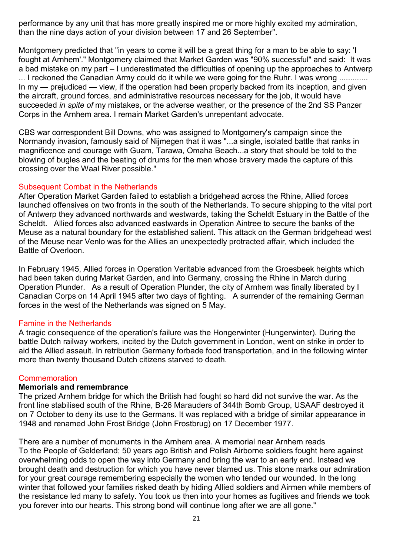performance by any unit that has more greatly inspired me or more highly excited my admiration, than the nine days action of your division between 17 and 26 September".

Montgomery predicted that "in years to come it will be a great thing for a man to be able to say: 'I fought at Arnhem'." Montgomery claimed that Market Garden was "90% successful" and said: It was a bad mistake on my part – I underestimated the difficulties of opening up the approaches to Antwerp ... I reckoned the Canadian Army could do it while we were going for the Ruhr. I was wrong ............. In my — prejudiced — view, if the operation had been properly backed from its inception, and given the aircraft, ground forces, and administrative resources necessary for the job, it would have succeeded *in spite of* my mistakes, or the adverse weather, or the presence of the 2nd SS Panzer Corps in the Arnhem area. I remain Market Garden's unrepentant advocate.

CBS war correspondent Bill Downs, who was assigned to Montgomery's campaign since the Normandy invasion, famously said of Nijmegen that it was "...a single, isolated battle that ranks in magnificence and courage with Guam, Tarawa, Omaha Beach...a story that should be told to the blowing of bugles and the beating of drums for the men whose bravery made the capture of this crossing over the Waal River possible."

## Subsequent Combat in the Netherlands

After Operation Market Garden failed to establish a bridgehead across the Rhine, Allied forces launched offensives on two fronts in the south of the Netherlands. To secure shipping to the vital port of Antwerp they advanced northwards and westwards, taking the Scheldt Estuary in the Battle of the Scheldt. Allied forces also advanced eastwards in Operation Aintree to secure the banks of the Meuse as a natural boundary for the established salient. This attack on the German bridgehead west of the Meuse near Venlo was for the Allies an unexpectedly protracted affair, which included the Battle of Overloon.

In February 1945, Allied forces in Operation Veritable advanced from the Groesbeek heights which had been taken during Market Garden, and into Germany, crossing the Rhine in March during Operation Plunder. As a result of Operation Plunder, the city of Arnhem was finally liberated by I Canadian Corps on 14 April 1945 after two days of fighting. A surrender of the remaining German forces in the west of the Netherlands was signed on 5 May.

## Famine in the Netherlands

A tragic consequence of the operation's failure was the Hongerwinter (Hungerwinter). During the battle Dutch railway workers, incited by the Dutch government in London, went on strike in order to aid the Allied assault. In retribution Germany forbade food transportation, and in the following winter more than twenty thousand Dutch citizens starved to death.

## Commemoration

## **Memorials and remembrance**

The prized Arnhem bridge for which the British had fought so hard did not survive the war. As the front line stabilised south of the Rhine, B-26 Marauders of 344th Bomb Group, USAAF destroyed it on 7 October to deny its use to the Germans. It was replaced with a bridge of similar appearance in 1948 and renamed John Frost Bridge (John Frostbrug) on 17 December 1977.

There are a number of monuments in the Arnhem area. A memorial near Arnhem reads To the People of Gelderland; 50 years ago British and Polish Airborne soldiers fought here against overwhelming odds to open the way into Germany and bring the war to an early end. Instead we brought death and destruction for which you have never blamed us. This stone marks our admiration for your great courage remembering especially the women who tended our wounded. In the long winter that followed your families risked death by hiding Allied soldiers and Airmen while members of the resistance led many to safety. You took us then into your homes as fugitives and friends we took you forever into our hearts. This strong bond will continue long after we are all gone."